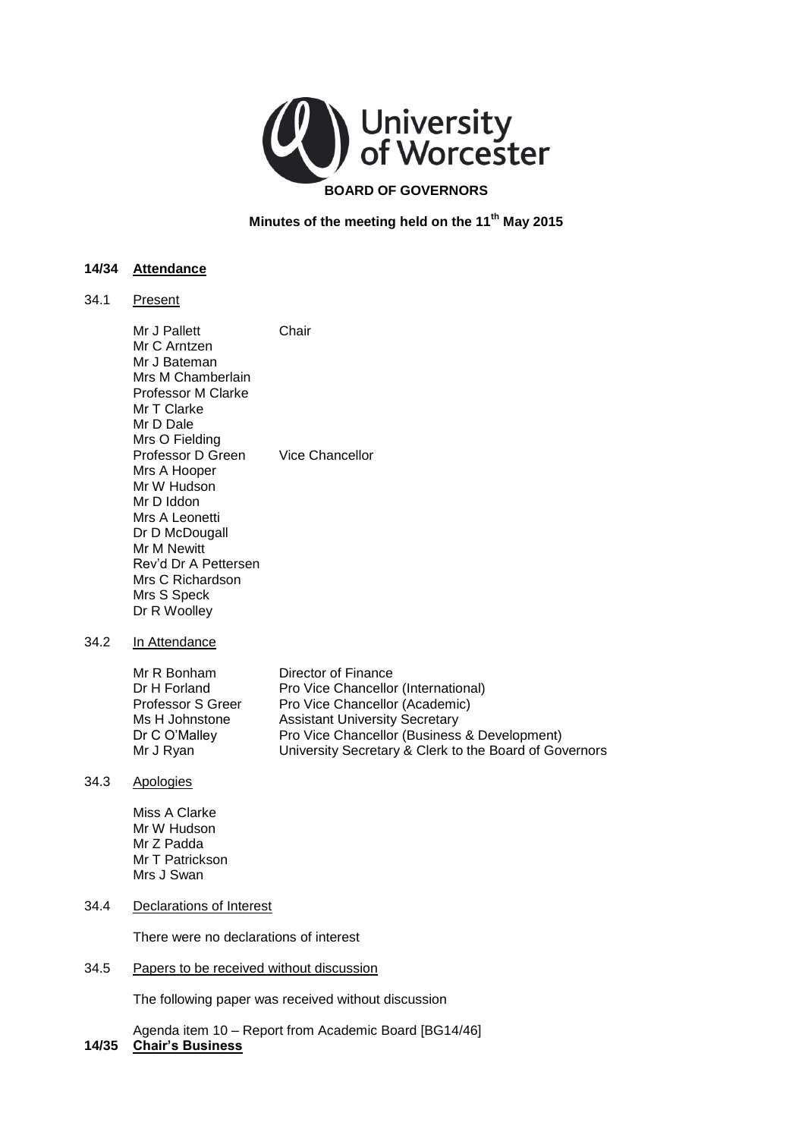

**Minutes of the meeting held on the 11th May 2015** 

# **14/34 Attendance**

34.1 Present

|      | Mr J Pallett<br>Mr C Arntzen<br>Mr J Bateman<br>Mrs M Chamberlain<br><b>Professor M Clarke</b><br>Mr T Clarke<br>Mr D Dale<br>Mrs O Fielding                                                 | Chair                                                                                                                                                                                                                                           |
|------|----------------------------------------------------------------------------------------------------------------------------------------------------------------------------------------------|-------------------------------------------------------------------------------------------------------------------------------------------------------------------------------------------------------------------------------------------------|
|      | Professor D Green<br>Mrs A Hooper<br>Mr W Hudson<br>Mr D Iddon<br>Mrs A Leonetti<br>Dr D McDougall<br>Mr M Newitt<br>Rev'd Dr A Pettersen<br>Mrs C Richardson<br>Mrs S Speck<br>Dr R Woolley | Vice Chancellor                                                                                                                                                                                                                                 |
| 34.2 | In Attendance                                                                                                                                                                                |                                                                                                                                                                                                                                                 |
|      | Mr R Bonham<br>Dr H Forland<br><b>Professor S Greer</b><br>Ms H Johnstone<br>Dr C O'Malley<br>Mr J Ryan                                                                                      | Director of Finance<br>Pro Vice Chancellor (International)<br>Pro Vice Chancellor (Academic)<br><b>Assistant University Secretary</b><br>Pro Vice Chancellor (Business & Development)<br>University Secretary & Clerk to the Board of Governors |
| 34.3 | Apologies                                                                                                                                                                                    |                                                                                                                                                                                                                                                 |
|      | Miss A Clarke<br>Mr W Hudson<br>Mr Z Padda<br>Mr T Patrickson<br>Mrs J Swan                                                                                                                  |                                                                                                                                                                                                                                                 |
| 34.4 | <b>Declarations of Interest</b>                                                                                                                                                              |                                                                                                                                                                                                                                                 |
|      | There were no declarations of interest                                                                                                                                                       |                                                                                                                                                                                                                                                 |
| 34.5 | Papers to be received without discussion                                                                                                                                                     |                                                                                                                                                                                                                                                 |
|      | The following paper was received without discussion                                                                                                                                          |                                                                                                                                                                                                                                                 |

 Agenda item 10 – Report from Academic Board [BG14/46] **14/35 Chair's Business**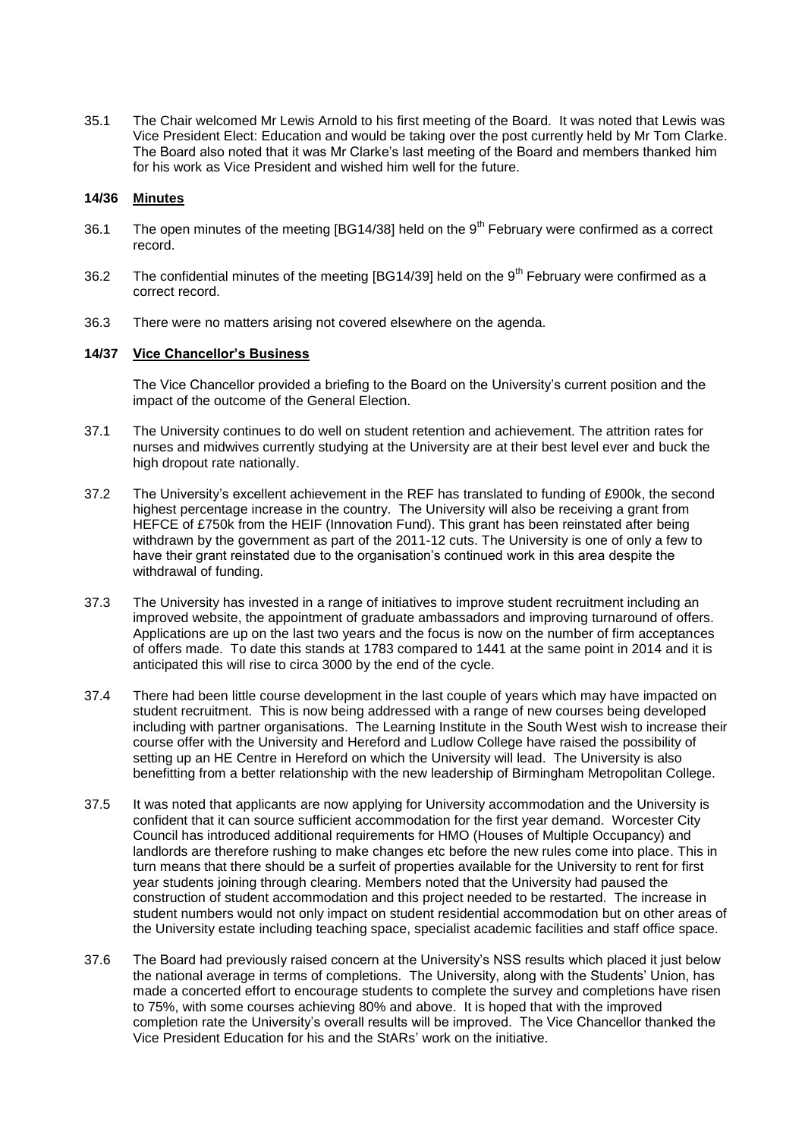35.1 The Chair welcomed Mr Lewis Arnold to his first meeting of the Board. It was noted that Lewis was Vice President Elect: Education and would be taking over the post currently held by Mr Tom Clarke. The Board also noted that it was Mr Clarke's last meeting of the Board and members thanked him for his work as Vice President and wished him well for the future.

## **14/36 Minutes**

- 36.1 The open minutes of the meeting  $[BG14/38]$  held on the  $9<sup>th</sup>$  February were confirmed as a correct record.
- 36.2 The confidential minutes of the meeting [BG14/39] held on the  $9<sup>th</sup>$  February were confirmed as a correct record.
- 36.3 There were no matters arising not covered elsewhere on the agenda.

# **14/37 Vice Chancellor's Business**

The Vice Chancellor provided a briefing to the Board on the University's current position and the impact of the outcome of the General Election.

- 37.1 The University continues to do well on student retention and achievement. The attrition rates for nurses and midwives currently studying at the University are at their best level ever and buck the high dropout rate nationally.
- 37.2 The University's excellent achievement in the REF has translated to funding of £900k, the second highest percentage increase in the country. The University will also be receiving a grant from HEFCE of £750k from the HEIF (Innovation Fund). This grant has been reinstated after being withdrawn by the government as part of the 2011-12 cuts. The University is one of only a few to have their grant reinstated due to the organisation's continued work in this area despite the withdrawal of funding.
- 37.3 The University has invested in a range of initiatives to improve student recruitment including an improved website, the appointment of graduate ambassadors and improving turnaround of offers. Applications are up on the last two years and the focus is now on the number of firm acceptances of offers made. To date this stands at 1783 compared to 1441 at the same point in 2014 and it is anticipated this will rise to circa 3000 by the end of the cycle.
- 37.4 There had been little course development in the last couple of years which may have impacted on student recruitment. This is now being addressed with a range of new courses being developed including with partner organisations. The Learning Institute in the South West wish to increase their course offer with the University and Hereford and Ludlow College have raised the possibility of setting up an HE Centre in Hereford on which the University will lead. The University is also benefitting from a better relationship with the new leadership of Birmingham Metropolitan College.
- 37.5 It was noted that applicants are now applying for University accommodation and the University is confident that it can source sufficient accommodation for the first year demand. Worcester City Council has introduced additional requirements for HMO (Houses of Multiple Occupancy) and landlords are therefore rushing to make changes etc before the new rules come into place. This in turn means that there should be a surfeit of properties available for the University to rent for first year students joining through clearing. Members noted that the University had paused the construction of student accommodation and this project needed to be restarted. The increase in student numbers would not only impact on student residential accommodation but on other areas of the University estate including teaching space, specialist academic facilities and staff office space.
- 37.6 The Board had previously raised concern at the University's NSS results which placed it just below the national average in terms of completions. The University, along with the Students' Union, has made a concerted effort to encourage students to complete the survey and completions have risen to 75%, with some courses achieving 80% and above. It is hoped that with the improved completion rate the University's overall results will be improved. The Vice Chancellor thanked the Vice President Education for his and the StARs' work on the initiative.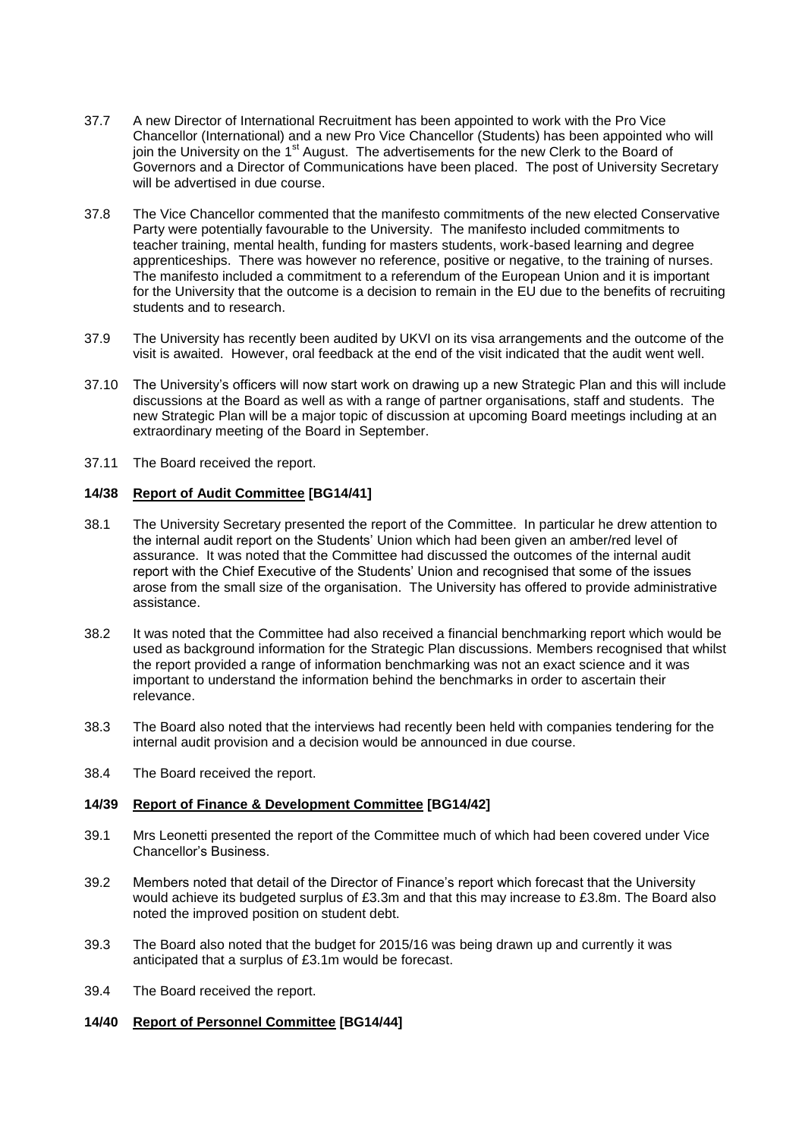- 37.7 A new Director of International Recruitment has been appointed to work with the Pro Vice Chancellor (International) and a new Pro Vice Chancellor (Students) has been appointed who will join the University on the 1<sup>st</sup> August. The advertisements for the new Clerk to the Board of Governors and a Director of Communications have been placed. The post of University Secretary will be advertised in due course.
- 37.8 The Vice Chancellor commented that the manifesto commitments of the new elected Conservative Party were potentially favourable to the University. The manifesto included commitments to teacher training, mental health, funding for masters students, work-based learning and degree apprenticeships. There was however no reference, positive or negative, to the training of nurses. The manifesto included a commitment to a referendum of the European Union and it is important for the University that the outcome is a decision to remain in the EU due to the benefits of recruiting students and to research.
- 37.9 The University has recently been audited by UKVI on its visa arrangements and the outcome of the visit is awaited. However, oral feedback at the end of the visit indicated that the audit went well.
- 37.10 The University's officers will now start work on drawing up a new Strategic Plan and this will include discussions at the Board as well as with a range of partner organisations, staff and students. The new Strategic Plan will be a major topic of discussion at upcoming Board meetings including at an extraordinary meeting of the Board in September.
- 37.11 The Board received the report.

## **14/38 Report of Audit Committee [BG14/41]**

- 38.1 The University Secretary presented the report of the Committee. In particular he drew attention to the internal audit report on the Students' Union which had been given an amber/red level of assurance. It was noted that the Committee had discussed the outcomes of the internal audit report with the Chief Executive of the Students' Union and recognised that some of the issues arose from the small size of the organisation. The University has offered to provide administrative assistance.
- 38.2 It was noted that the Committee had also received a financial benchmarking report which would be used as background information for the Strategic Plan discussions. Members recognised that whilst the report provided a range of information benchmarking was not an exact science and it was important to understand the information behind the benchmarks in order to ascertain their relevance.
- 38.3 The Board also noted that the interviews had recently been held with companies tendering for the internal audit provision and a decision would be announced in due course.
- 38.4 The Board received the report.

#### **14/39 Report of Finance & Development Committee [BG14/42]**

- 39.1 Mrs Leonetti presented the report of the Committee much of which had been covered under Vice Chancellor's Business.
- 39.2 Members noted that detail of the Director of Finance's report which forecast that the University would achieve its budgeted surplus of £3.3m and that this may increase to £3.8m. The Board also noted the improved position on student debt.
- 39.3 The Board also noted that the budget for 2015/16 was being drawn up and currently it was anticipated that a surplus of £3.1m would be forecast.
- 39.4 The Board received the report.
- **14/40 Report of Personnel Committee [BG14/44]**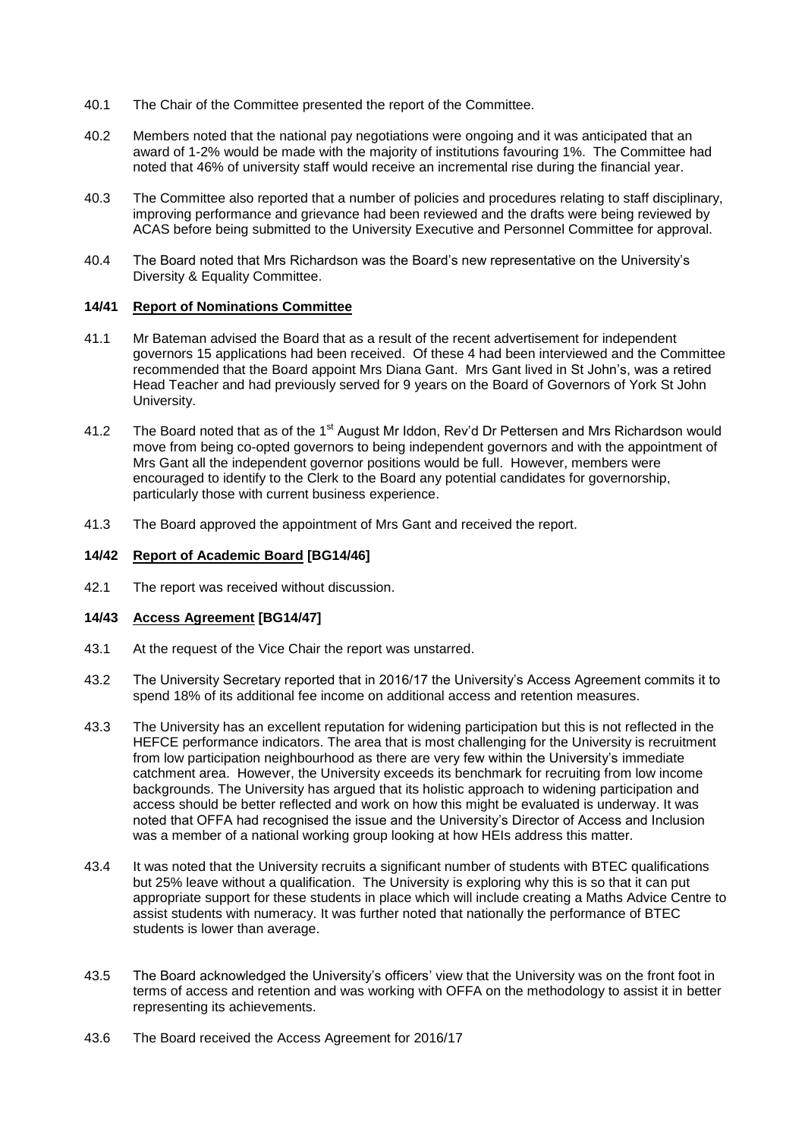- 40.1 The Chair of the Committee presented the report of the Committee.
- 40.2 Members noted that the national pay negotiations were ongoing and it was anticipated that an award of 1-2% would be made with the majority of institutions favouring 1%. The Committee had noted that 46% of university staff would receive an incremental rise during the financial year.
- 40.3 The Committee also reported that a number of policies and procedures relating to staff disciplinary, improving performance and grievance had been reviewed and the drafts were being reviewed by ACAS before being submitted to the University Executive and Personnel Committee for approval.
- 40.4 The Board noted that Mrs Richardson was the Board's new representative on the University's Diversity & Equality Committee.

#### **14/41 Report of Nominations Committee**

- 41.1 Mr Bateman advised the Board that as a result of the recent advertisement for independent governors 15 applications had been received. Of these 4 had been interviewed and the Committee recommended that the Board appoint Mrs Diana Gant. Mrs Gant lived in St John's, was a retired Head Teacher and had previously served for 9 years on the Board of Governors of York St John University.
- 41.2 The Board noted that as of the 1<sup>st</sup> August Mr Iddon, Rev'd Dr Pettersen and Mrs Richardson would move from being co-opted governors to being independent governors and with the appointment of Mrs Gant all the independent governor positions would be full. However, members were encouraged to identify to the Clerk to the Board any potential candidates for governorship, particularly those with current business experience.
- 41.3 The Board approved the appointment of Mrs Gant and received the report.

## **14/42 Report of Academic Board [BG14/46]**

42.1 The report was received without discussion.

#### **14/43 Access Agreement [BG14/47]**

- 43.1 At the request of the Vice Chair the report was unstarred.
- 43.2 The University Secretary reported that in 2016/17 the University's Access Agreement commits it to spend 18% of its additional fee income on additional access and retention measures.
- 43.3 The University has an excellent reputation for widening participation but this is not reflected in the HEFCE performance indicators. The area that is most challenging for the University is recruitment from low participation neighbourhood as there are very few within the University's immediate catchment area. However, the University exceeds its benchmark for recruiting from low income backgrounds. The University has argued that its holistic approach to widening participation and access should be better reflected and work on how this might be evaluated is underway. It was noted that OFFA had recognised the issue and the University's Director of Access and Inclusion was a member of a national working group looking at how HEIs address this matter.
- 43.4 It was noted that the University recruits a significant number of students with BTEC qualifications but 25% leave without a qualification. The University is exploring why this is so that it can put appropriate support for these students in place which will include creating a Maths Advice Centre to assist students with numeracy. It was further noted that nationally the performance of BTEC students is lower than average.
- 43.5 The Board acknowledged the University's officers' view that the University was on the front foot in terms of access and retention and was working with OFFA on the methodology to assist it in better representing its achievements.
- 43.6 The Board received the Access Agreement for 2016/17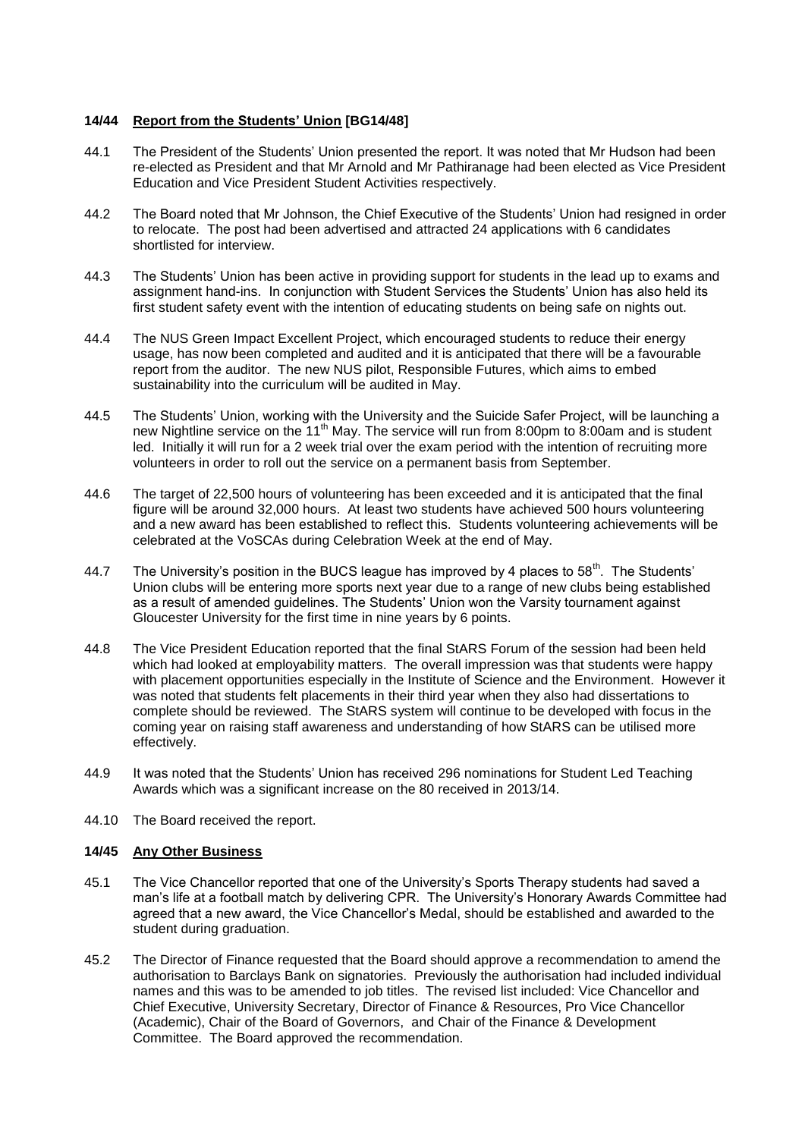## **14/44 Report from the Students' Union [BG14/48]**

- 44.1 The President of the Students' Union presented the report. It was noted that Mr Hudson had been re-elected as President and that Mr Arnold and Mr Pathiranage had been elected as Vice President Education and Vice President Student Activities respectively.
- 44.2 The Board noted that Mr Johnson, the Chief Executive of the Students' Union had resigned in order to relocate. The post had been advertised and attracted 24 applications with 6 candidates shortlisted for interview.
- 44.3 The Students' Union has been active in providing support for students in the lead up to exams and assignment hand-ins. In conjunction with Student Services the Students' Union has also held its first student safety event with the intention of educating students on being safe on nights out.
- 44.4 The NUS Green Impact Excellent Project, which encouraged students to reduce their energy usage, has now been completed and audited and it is anticipated that there will be a favourable report from the auditor. The new NUS pilot, Responsible Futures, which aims to embed sustainability into the curriculum will be audited in May.
- 44.5 The Students' Union, working with the University and the Suicide Safer Project, will be launching a new Nightline service on the 11<sup>th</sup> May. The service will run from 8:00pm to 8:00am and is student led. Initially it will run for a 2 week trial over the exam period with the intention of recruiting more volunteers in order to roll out the service on a permanent basis from September.
- 44.6 The target of 22,500 hours of volunteering has been exceeded and it is anticipated that the final figure will be around 32,000 hours. At least two students have achieved 500 hours volunteering and a new award has been established to reflect this. Students volunteering achievements will be celebrated at the VoSCAs during Celebration Week at the end of May.
- 44.7 The University's position in the BUCS league has improved by 4 places to  $58<sup>th</sup>$ . The Students' Union clubs will be entering more sports next year due to a range of new clubs being established as a result of amended guidelines. The Students' Union won the Varsity tournament against Gloucester University for the first time in nine years by 6 points.
- 44.8 The Vice President Education reported that the final StARS Forum of the session had been held which had looked at employability matters. The overall impression was that students were happy with placement opportunities especially in the Institute of Science and the Environment. However it was noted that students felt placements in their third year when they also had dissertations to complete should be reviewed. The StARS system will continue to be developed with focus in the coming year on raising staff awareness and understanding of how StARS can be utilised more effectively.
- 44.9 It was noted that the Students' Union has received 296 nominations for Student Led Teaching Awards which was a significant increase on the 80 received in 2013/14.
- 44.10 The Board received the report.

# **14/45 Any Other Business**

- 45.1 The Vice Chancellor reported that one of the University's Sports Therapy students had saved a man's life at a football match by delivering CPR. The University's Honorary Awards Committee had agreed that a new award, the Vice Chancellor's Medal, should be established and awarded to the student during graduation.
- 45.2 The Director of Finance requested that the Board should approve a recommendation to amend the authorisation to Barclays Bank on signatories. Previously the authorisation had included individual names and this was to be amended to job titles. The revised list included: Vice Chancellor and Chief Executive, University Secretary, Director of Finance & Resources, Pro Vice Chancellor (Academic), Chair of the Board of Governors, and Chair of the Finance & Development Committee. The Board approved the recommendation.